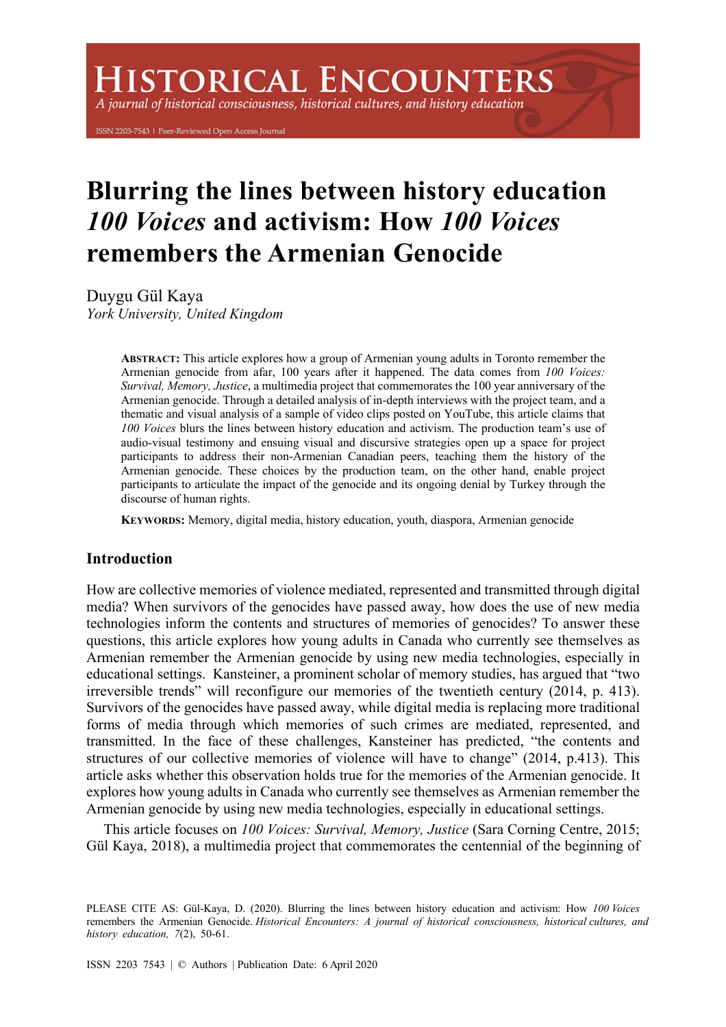# **HISTORICAL ENCOUNTERS**

A journal of historical consciousness, historical cultures, and history education

ISSN 2203-7543 | Peer-Reviewed Open Access Journal

# **Blurring the lines between history education**  *100 Voices* **and activism: How** *100 Voices* **remembers the Armenian Genocide**

Duygu Gül Kaya *York University, United Kingdom* 

> **ABSTRACT:** This article explores how a group of Armenian young adults in Toronto remember the Armenian genocide from afar, 100 years after it happened. The data comes from *100 Voices: Survival, Memory, Justice*, a multimedia project that commemorates the 100 year anniversary of the Armenian genocide. Through a detailed analysis of in-depth interviews with the project team, and a thematic and visual analysis of a sample of video clips posted on YouTube, this article claims that *100 Voices* blurs the lines between history education and activism. The production team's use of audio-visual testimony and ensuing visual and discursive strategies open up a space for project participants to address their non-Armenian Canadian peers, teaching them the history of the Armenian genocide. These choices by the production team, on the other hand, enable project participants to articulate the impact of the genocide and its ongoing denial by Turkey through the discourse of human rights.

**KEYWORDS:** Memory, digital media, history education, youth, diaspora, Armenian genocide

## **Introduction**

How are collective memories of violence mediated, represented and transmitted through digital media? When survivors of the genocides have passed away, how does the use of new media technologies inform the contents and structures of memories of genocides? To answer these questions, this article explores how young adults in Canada who currently see themselves as Armenian remember the Armenian genocide by using new media technologies, especially in educational settings. Kansteiner, a prominent scholar of memory studies, has argued that "two irreversible trends" will reconfigure our memories of the twentieth century (2014, p. 413). Survivors of the genocides have passed away, while digital media is replacing more traditional forms of media through which memories of such crimes are mediated, represented, and transmitted. In the face of these challenges, Kansteiner has predicted, "the contents and structures of our collective memories of violence will have to change" (2014, p.413). This article asks whether this observation holds true for the memories of the Armenian genocide. It explores how young adults in Canada who currently see themselves as Armenian remember the Armenian genocide by using new media technologies, especially in educational settings.

This article focuses on *100 Voices: Survival, Memory, Justice* (Sara Corning Centre, 2015; Gül Kaya, 2018), a multimedia project that commemorates the centennial of the beginning of

PLEASE CITE AS: Gül-Kaya, D. (2020). Blurring the lines between history education and activism: How *100 Voices* remembers the Armenian Genocide. *Historical Encounters: A journal of historical consciousness, historical cultures, and history education, 7*(2), 50-61.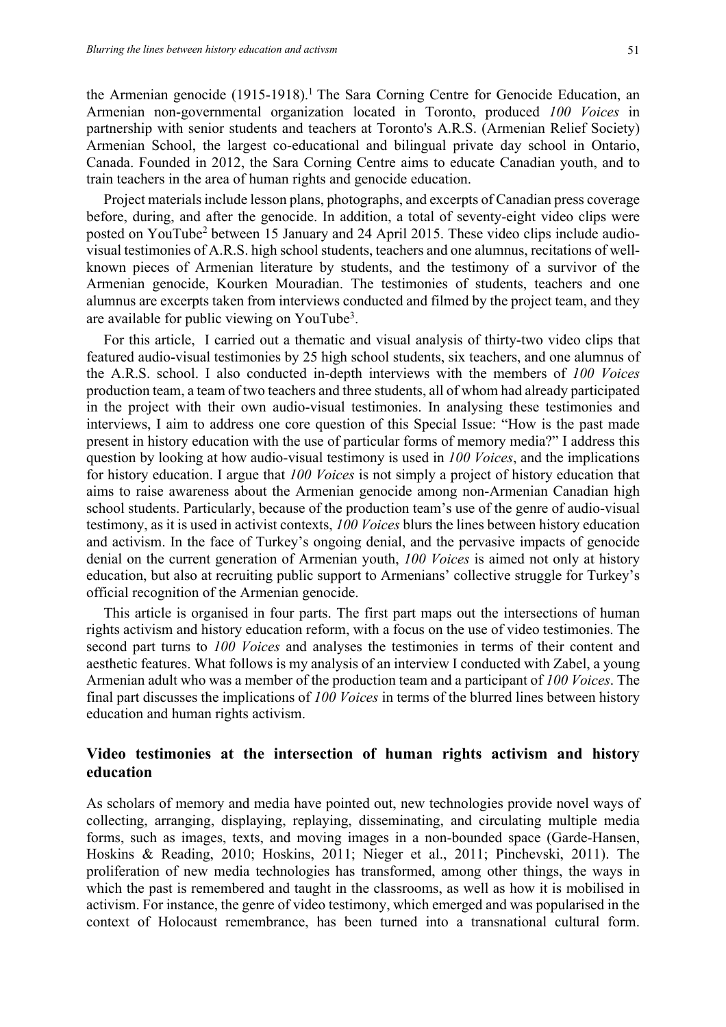the Armenian genocide (1915-1918). <sup>1</sup> The Sara Corning Centre for Genocide Education, an Armenian non-governmental organization located in Toronto, produced *100 Voices* in partnership with senior students and teachers at Toronto's A.R.S. (Armenian Relief Society) Armenian School, the largest co-educational and bilingual private day school in Ontario, Canada. Founded in 2012, the Sara Corning Centre aims to educate Canadian youth, and to train teachers in the area of human rights and genocide education.

Project materials include lesson plans, photographs, and excerpts of Canadian press coverage before, during, and after the genocide. In addition, a total of seventy-eight video clips were posted on YouTube2 between 15 January and 24 April 2015. These video clips include audiovisual testimonies of A.R.S. high school students, teachers and one alumnus, recitations of wellknown pieces of Armenian literature by students, and the testimony of a survivor of the Armenian genocide, Kourken Mouradian. The testimonies of students, teachers and one alumnus are excerpts taken from interviews conducted and filmed by the project team, and they are available for public viewing on YouTube<sup>3</sup>.

For this article, I carried out a thematic and visual analysis of thirty-two video clips that featured audio-visual testimonies by 25 high school students, six teachers, and one alumnus of the A.R.S. school. I also conducted in-depth interviews with the members of *100 Voices* production team, a team of two teachers and three students, all of whom had already participated in the project with their own audio-visual testimonies. In analysing these testimonies and interviews, I aim to address one core question of this Special Issue: "How is the past made present in history education with the use of particular forms of memory media?" I address this question by looking at how audio-visual testimony is used in *100 Voices*, and the implications for history education. I argue that *100 Voices* is not simply a project of history education that aims to raise awareness about the Armenian genocide among non-Armenian Canadian high school students. Particularly, because of the production team's use of the genre of audio-visual testimony, as it is used in activist contexts, *100 Voices* blurs the lines between history education and activism. In the face of Turkey's ongoing denial, and the pervasive impacts of genocide denial on the current generation of Armenian youth, *100 Voices* is aimed not only at history education, but also at recruiting public support to Armenians' collective struggle for Turkey's official recognition of the Armenian genocide.

This article is organised in four parts. The first part maps out the intersections of human rights activism and history education reform, with a focus on the use of video testimonies. The second part turns to *100 Voices* and analyses the testimonies in terms of their content and aesthetic features. What follows is my analysis of an interview I conducted with Zabel, a young Armenian adult who was a member of the production team and a participant of *100 Voices*. The final part discusses the implications of *100 Voices* in terms of the blurred lines between history education and human rights activism.

# **Video testimonies at the intersection of human rights activism and history education**

As scholars of memory and media have pointed out, new technologies provide novel ways of collecting, arranging, displaying, replaying, disseminating, and circulating multiple media forms, such as images, texts, and moving images in a non-bounded space (Garde-Hansen, Hoskins & Reading, 2010; Hoskins, 2011; Nieger et al., 2011; Pinchevski, 2011). The proliferation of new media technologies has transformed, among other things, the ways in which the past is remembered and taught in the classrooms, as well as how it is mobilised in activism. For instance, the genre of video testimony, which emerged and was popularised in the context of Holocaust remembrance, has been turned into a transnational cultural form.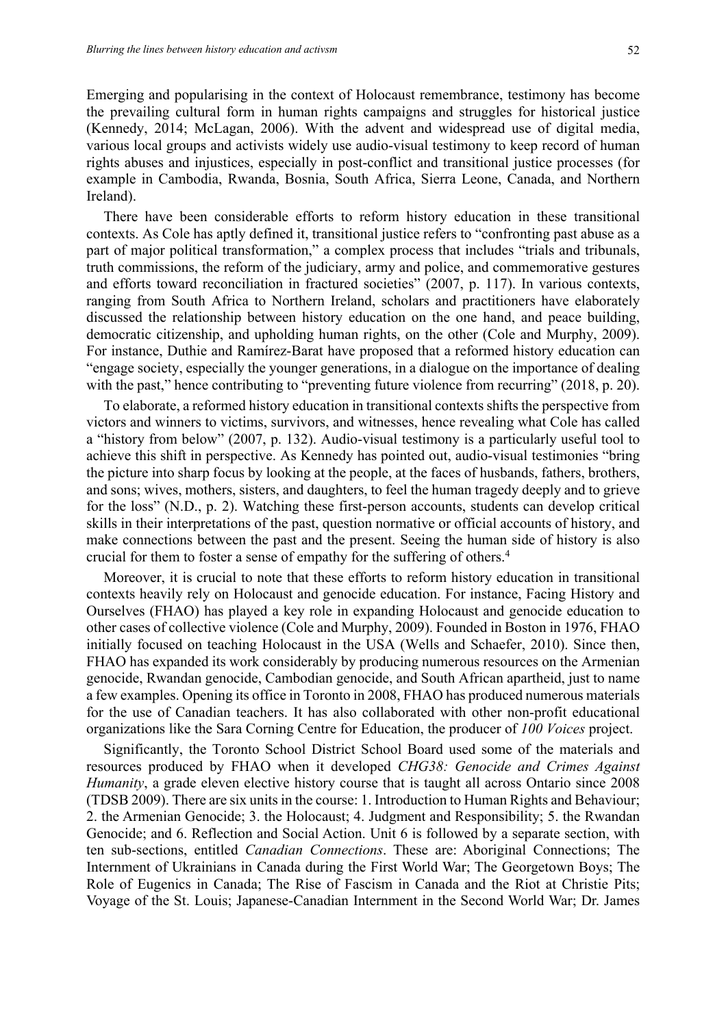Emerging and popularising in the context of Holocaust remembrance, testimony has become the prevailing cultural form in human rights campaigns and struggles for historical justice (Kennedy, 2014; McLagan, 2006). With the advent and widespread use of digital media, various local groups and activists widely use audio-visual testimony to keep record of human rights abuses and injustices, especially in post-conflict and transitional justice processes (for example in Cambodia, Rwanda, Bosnia, South Africa, Sierra Leone, Canada, and Northern Ireland).

There have been considerable efforts to reform history education in these transitional contexts. As Cole has aptly defined it, transitional justice refers to "confronting past abuse as a part of major political transformation," a complex process that includes "trials and tribunals, truth commissions, the reform of the judiciary, army and police, and commemorative gestures and efforts toward reconciliation in fractured societies" (2007, p. 117). In various contexts, ranging from South Africa to Northern Ireland, scholars and practitioners have elaborately discussed the relationship between history education on the one hand, and peace building, democratic citizenship, and upholding human rights, on the other (Cole and Murphy, 2009). For instance, Duthie and Ramírez-Barat have proposed that a reformed history education can "engage society, especially the younger generations, in a dialogue on the importance of dealing with the past," hence contributing to "preventing future violence from recurring" (2018, p. 20).

To elaborate, a reformed history education in transitional contexts shifts the perspective from victors and winners to victims, survivors, and witnesses, hence revealing what Cole has called a "history from below" (2007, p. 132). Audio-visual testimony is a particularly useful tool to achieve this shift in perspective. As Kennedy has pointed out, audio-visual testimonies "bring the picture into sharp focus by looking at the people, at the faces of husbands, fathers, brothers, and sons; wives, mothers, sisters, and daughters, to feel the human tragedy deeply and to grieve for the loss" (N.D., p. 2). Watching these first-person accounts, students can develop critical skills in their interpretations of the past, question normative or official accounts of history, and make connections between the past and the present. Seeing the human side of history is also crucial for them to foster a sense of empathy for the suffering of others. 4

Moreover, it is crucial to note that these efforts to reform history education in transitional contexts heavily rely on Holocaust and genocide education. For instance, Facing History and Ourselves (FHAO) has played a key role in expanding Holocaust and genocide education to other cases of collective violence (Cole and Murphy, 2009). Founded in Boston in 1976, FHAO initially focused on teaching Holocaust in the USA (Wells and Schaefer, 2010). Since then, FHAO has expanded its work considerably by producing numerous resources on the Armenian genocide, Rwandan genocide, Cambodian genocide, and South African apartheid, just to name a few examples. Opening its office in Toronto in 2008, FHAO has produced numerous materials for the use of Canadian teachers. It has also collaborated with other non-profit educational organizations like the Sara Corning Centre for Education, the producer of *100 Voices* project.

Significantly, the Toronto School District School Board used some of the materials and resources produced by FHAO when it developed *CHG38: Genocide and Crimes Against Humanity*, a grade eleven elective history course that is taught all across Ontario since 2008 (TDSB 2009). There are six units in the course: 1. Introduction to Human Rights and Behaviour; 2. the Armenian Genocide; 3. the Holocaust; 4. Judgment and Responsibility; 5. the Rwandan Genocide; and 6. Reflection and Social Action. Unit 6 is followed by a separate section, with ten sub-sections, entitled *Canadian Connections*. These are: Aboriginal Connections; The Internment of Ukrainians in Canada during the First World War; The Georgetown Boys; The Role of Eugenics in Canada; The Rise of Fascism in Canada and the Riot at Christie Pits; Voyage of the St. Louis; Japanese-Canadian Internment in the Second World War; Dr. James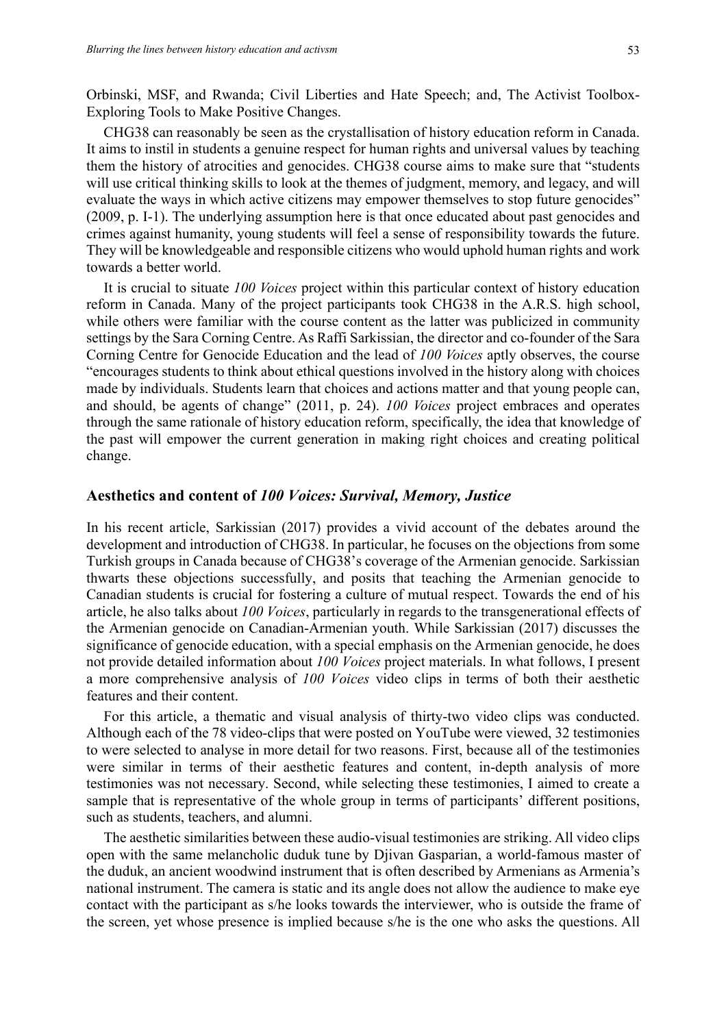Orbinski, MSF, and Rwanda; Civil Liberties and Hate Speech; and, The Activist Toolbox-Exploring Tools to Make Positive Changes.

CHG38 can reasonably be seen as the crystallisation of history education reform in Canada. It aims to instil in students a genuine respect for human rights and universal values by teaching them the history of atrocities and genocides. CHG38 course aims to make sure that "students will use critical thinking skills to look at the themes of judgment, memory, and legacy, and will evaluate the ways in which active citizens may empower themselves to stop future genocides" (2009, p. I-1). The underlying assumption here is that once educated about past genocides and crimes against humanity, young students will feel a sense of responsibility towards the future. They will be knowledgeable and responsible citizens who would uphold human rights and work towards a better world.

It is crucial to situate *100 Voices* project within this particular context of history education reform in Canada. Many of the project participants took CHG38 in the A.R.S. high school, while others were familiar with the course content as the latter was publicized in community settings by the Sara Corning Centre. As Raffi Sarkissian, the director and co-founder of the Sara Corning Centre for Genocide Education and the lead of *100 Voices* aptly observes, the course "encourages students to think about ethical questions involved in the history along with choices made by individuals. Students learn that choices and actions matter and that young people can, and should, be agents of change" (2011, p. 24). *100 Voices* project embraces and operates through the same rationale of history education reform, specifically, the idea that knowledge of the past will empower the current generation in making right choices and creating political change.

#### **Aesthetics and content of** *100 Voices: Survival, Memory, Justice*

In his recent article, Sarkissian (2017) provides a vivid account of the debates around the development and introduction of CHG38. In particular, he focuses on the objections from some Turkish groups in Canada because of CHG38's coverage of the Armenian genocide. Sarkissian thwarts these objections successfully, and posits that teaching the Armenian genocide to Canadian students is crucial for fostering a culture of mutual respect. Towards the end of his article, he also talks about *100 Voices*, particularly in regards to the transgenerational effects of the Armenian genocide on Canadian-Armenian youth. While Sarkissian (2017) discusses the significance of genocide education, with a special emphasis on the Armenian genocide, he does not provide detailed information about *100 Voices* project materials. In what follows, I present a more comprehensive analysis of *100 Voices* video clips in terms of both their aesthetic features and their content.

For this article, a thematic and visual analysis of thirty-two video clips was conducted. Although each of the 78 video-clips that were posted on YouTube were viewed, 32 testimonies to were selected to analyse in more detail for two reasons. First, because all of the testimonies were similar in terms of their aesthetic features and content, in-depth analysis of more testimonies was not necessary. Second, while selecting these testimonies, I aimed to create a sample that is representative of the whole group in terms of participants' different positions, such as students, teachers, and alumni.

The aesthetic similarities between these audio-visual testimonies are striking. All video clips open with the same melancholic duduk tune by Djivan Gasparian, a world-famous master of the duduk, an ancient woodwind instrument that is often described by Armenians as Armenia's national instrument. The camera is static and its angle does not allow the audience to make eye contact with the participant as s/he looks towards the interviewer, who is outside the frame of the screen, yet whose presence is implied because s/he is the one who asks the questions. All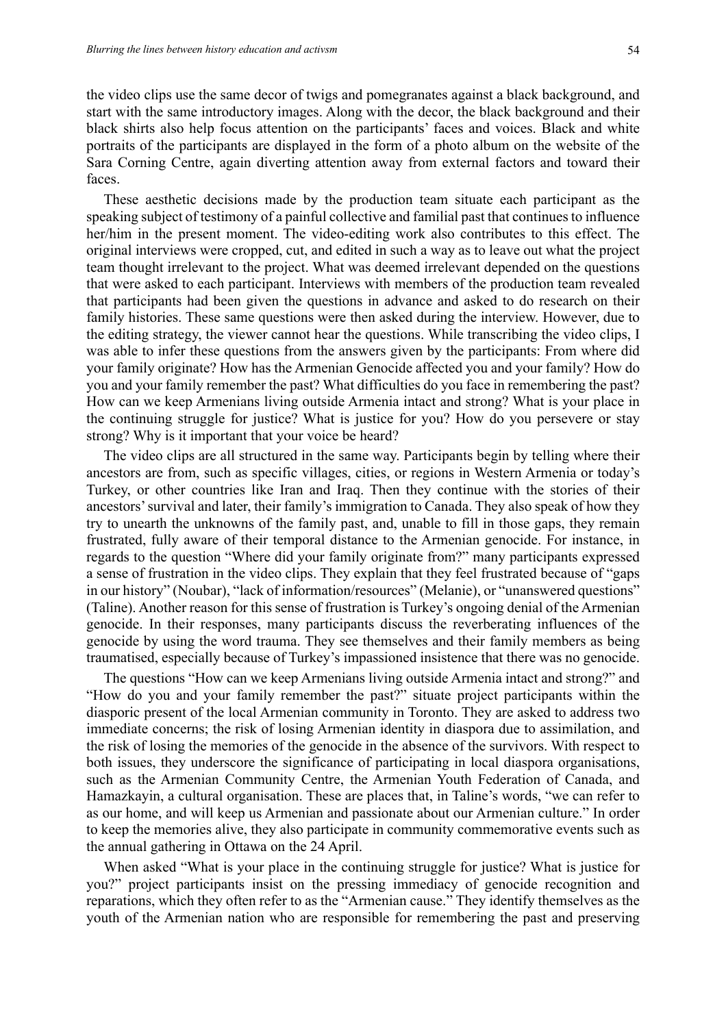the video clips use the same decor of twigs and pomegranates against a black background, and start with the same introductory images. Along with the decor, the black background and their black shirts also help focus attention on the participants' faces and voices. Black and white portraits of the participants are displayed in the form of a photo album on the website of the Sara Corning Centre, again diverting attention away from external factors and toward their faces.

These aesthetic decisions made by the production team situate each participant as the speaking subject of testimony of a painful collective and familial past that continues to influence her/him in the present moment. The video-editing work also contributes to this effect. The original interviews were cropped, cut, and edited in such a way as to leave out what the project team thought irrelevant to the project. What was deemed irrelevant depended on the questions that were asked to each participant. Interviews with members of the production team revealed that participants had been given the questions in advance and asked to do research on their family histories. These same questions were then asked during the interview. However, due to the editing strategy, the viewer cannot hear the questions. While transcribing the video clips, I was able to infer these questions from the answers given by the participants: From where did your family originate? How has the Armenian Genocide affected you and your family? How do you and your family remember the past? What difficulties do you face in remembering the past? How can we keep Armenians living outside Armenia intact and strong? What is your place in the continuing struggle for justice? What is justice for you? How do you persevere or stay strong? Why is it important that your voice be heard?

The video clips are all structured in the same way. Participants begin by telling where their ancestors are from, such as specific villages, cities, or regions in Western Armenia or today's Turkey, or other countries like Iran and Iraq. Then they continue with the stories of their ancestors' survival and later, their family's immigration to Canada. They also speak of how they try to unearth the unknowns of the family past, and, unable to fill in those gaps, they remain frustrated, fully aware of their temporal distance to the Armenian genocide. For instance, in regards to the question "Where did your family originate from?" many participants expressed a sense of frustration in the video clips. They explain that they feel frustrated because of "gaps in our history" (Noubar), "lack of information/resources" (Melanie), or "unanswered questions" (Taline). Another reason for this sense of frustration is Turkey's ongoing denial of the Armenian genocide. In their responses, many participants discuss the reverberating influences of the genocide by using the word trauma. They see themselves and their family members as being traumatised, especially because of Turkey's impassioned insistence that there was no genocide.

The questions "How can we keep Armenians living outside Armenia intact and strong?" and "How do you and your family remember the past?" situate project participants within the diasporic present of the local Armenian community in Toronto. They are asked to address two immediate concerns; the risk of losing Armenian identity in diaspora due to assimilation, and the risk of losing the memories of the genocide in the absence of the survivors. With respect to both issues, they underscore the significance of participating in local diaspora organisations, such as the Armenian Community Centre, the Armenian Youth Federation of Canada, and Hamazkayin, a cultural organisation. These are places that, in Taline's words, "we can refer to as our home, and will keep us Armenian and passionate about our Armenian culture." In order to keep the memories alive, they also participate in community commemorative events such as the annual gathering in Ottawa on the 24 April.

When asked "What is your place in the continuing struggle for justice? What is justice for you?" project participants insist on the pressing immediacy of genocide recognition and reparations, which they often refer to as the "Armenian cause." They identify themselves as the youth of the Armenian nation who are responsible for remembering the past and preserving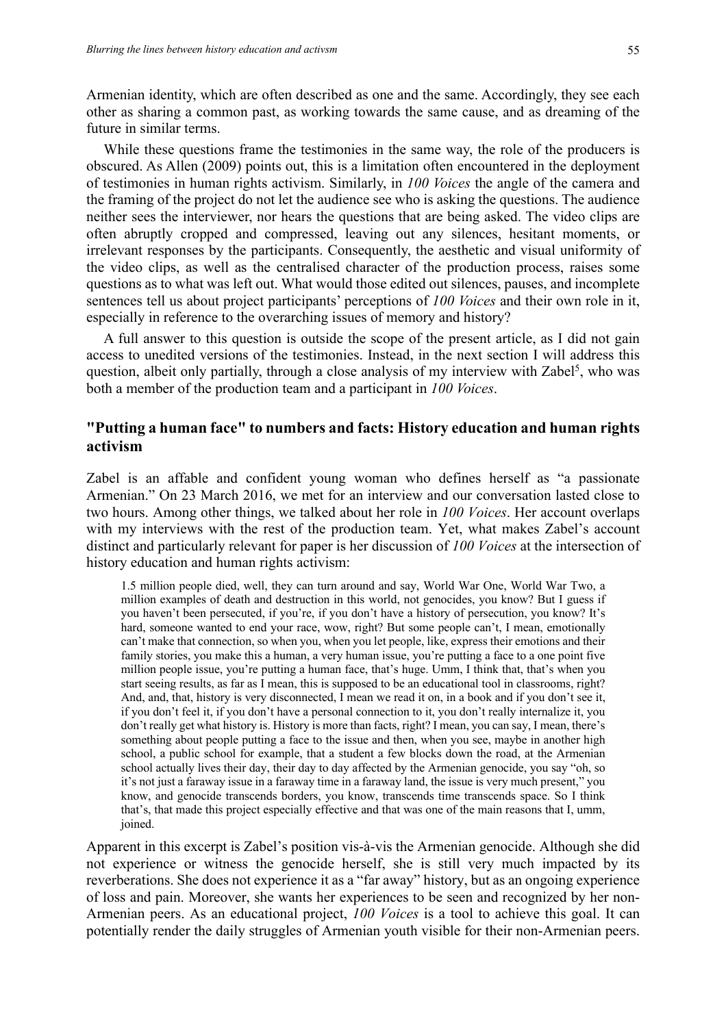Armenian identity, which are often described as one and the same. Accordingly, they see each other as sharing a common past, as working towards the same cause, and as dreaming of the future in similar terms.

While these questions frame the testimonies in the same way, the role of the producers is obscured. As Allen (2009) points out, this is a limitation often encountered in the deployment of testimonies in human rights activism. Similarly, in *100 Voices* the angle of the camera and the framing of the project do not let the audience see who is asking the questions. The audience neither sees the interviewer, nor hears the questions that are being asked. The video clips are often abruptly cropped and compressed, leaving out any silences, hesitant moments, or irrelevant responses by the participants. Consequently, the aesthetic and visual uniformity of the video clips, as well as the centralised character of the production process, raises some questions as to what was left out. What would those edited out silences, pauses, and incomplete sentences tell us about project participants' perceptions of *100 Voices* and their own role in it, especially in reference to the overarching issues of memory and history?

A full answer to this question is outside the scope of the present article, as I did not gain access to unedited versions of the testimonies. Instead, in the next section I will address this question, albeit only partially, through a close analysis of my interview with Zabel<sup>5</sup>, who was both a member of the production team and a participant in *100 Voices*.

# **"Putting a human face" to numbers and facts: History education and human rights activism**

Zabel is an affable and confident young woman who defines herself as "a passionate Armenian." On 23 March 2016, we met for an interview and our conversation lasted close to two hours. Among other things, we talked about her role in *100 Voices*. Her account overlaps with my interviews with the rest of the production team. Yet, what makes Zabel's account distinct and particularly relevant for paper is her discussion of *100 Voices* at the intersection of history education and human rights activism:

1.5 million people died, well, they can turn around and say, World War One, World War Two, a million examples of death and destruction in this world, not genocides, you know? But I guess if you haven't been persecuted, if you're, if you don't have a history of persecution, you know? It's hard, someone wanted to end your race, wow, right? But some people can't, I mean, emotionally can't make that connection, so when you, when you let people, like, express their emotions and their family stories, you make this a human, a very human issue, you're putting a face to a one point five million people issue, you're putting a human face, that's huge. Umm, I think that, that's when you start seeing results, as far as I mean, this is supposed to be an educational tool in classrooms, right? And, and, that, history is very disconnected, I mean we read it on, in a book and if you don't see it, if you don't feel it, if you don't have a personal connection to it, you don't really internalize it, you don't really get what history is. History is more than facts, right? I mean, you can say, I mean, there's something about people putting a face to the issue and then, when you see, maybe in another high school, a public school for example, that a student a few blocks down the road, at the Armenian school actually lives their day, their day to day affected by the Armenian genocide, you say "oh, so it's not just a faraway issue in a faraway time in a faraway land, the issue is very much present," you know, and genocide transcends borders, you know, transcends time transcends space. So I think that's, that made this project especially effective and that was one of the main reasons that I, umm, joined.

Apparent in this excerpt is Zabel's position vis-à-vis the Armenian genocide. Although she did not experience or witness the genocide herself, she is still very much impacted by its reverberations. She does not experience it as a "far away" history, but as an ongoing experience of loss and pain. Moreover, she wants her experiences to be seen and recognized by her non-Armenian peers. As an educational project, *100 Voices* is a tool to achieve this goal. It can potentially render the daily struggles of Armenian youth visible for their non-Armenian peers.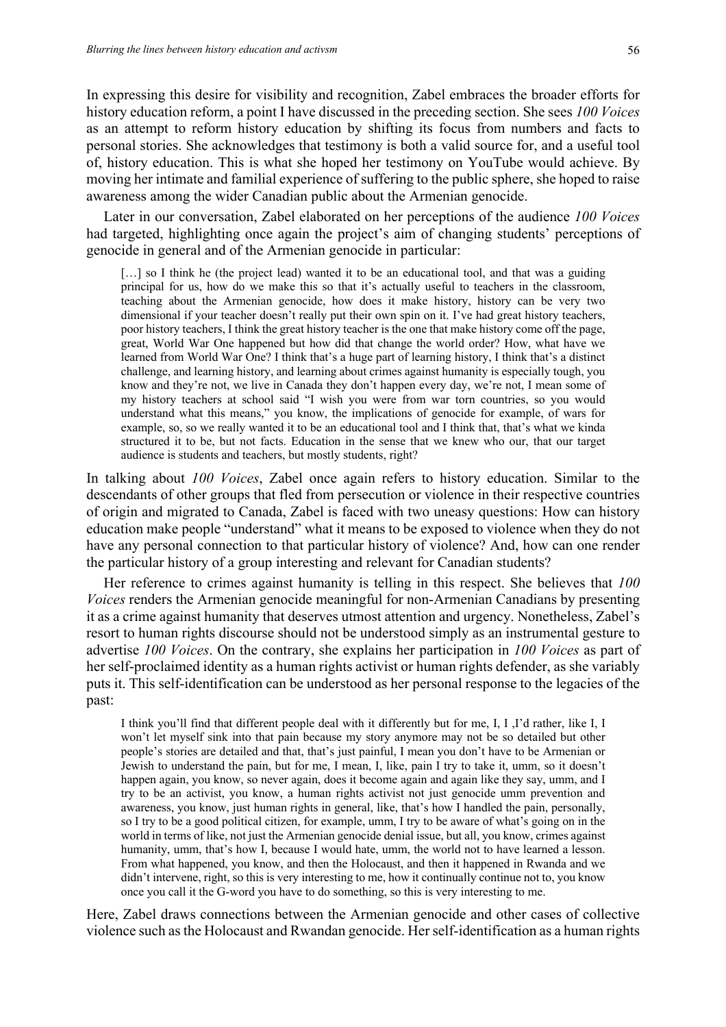In expressing this desire for visibility and recognition, Zabel embraces the broader efforts for history education reform, a point I have discussed in the preceding section. She sees *100 Voices* as an attempt to reform history education by shifting its focus from numbers and facts to personal stories. She acknowledges that testimony is both a valid source for, and a useful tool of, history education. This is what she hoped her testimony on YouTube would achieve. By moving her intimate and familial experience of suffering to the public sphere, she hoped to raise awareness among the wider Canadian public about the Armenian genocide.

Later in our conversation, Zabel elaborated on her perceptions of the audience *100 Voices* had targeted, highlighting once again the project's aim of changing students' perceptions of genocide in general and of the Armenian genocide in particular:

[...] so I think he (the project lead) wanted it to be an educational tool, and that was a guiding principal for us, how do we make this so that it's actually useful to teachers in the classroom, teaching about the Armenian genocide, how does it make history, history can be very two dimensional if your teacher doesn't really put their own spin on it. I've had great history teachers, poor history teachers, I think the great history teacher is the one that make history come off the page, great, World War One happened but how did that change the world order? How, what have we learned from World War One? I think that's a huge part of learning history, I think that's a distinct challenge, and learning history, and learning about crimes against humanity is especially tough, you know and they're not, we live in Canada they don't happen every day, we're not, I mean some of my history teachers at school said "I wish you were from war torn countries, so you would understand what this means," you know, the implications of genocide for example, of wars for example, so, so we really wanted it to be an educational tool and I think that, that's what we kinda structured it to be, but not facts. Education in the sense that we knew who our, that our target audience is students and teachers, but mostly students, right?

In talking about *100 Voices*, Zabel once again refers to history education. Similar to the descendants of other groups that fled from persecution or violence in their respective countries of origin and migrated to Canada, Zabel is faced with two uneasy questions: How can history education make people "understand" what it means to be exposed to violence when they do not have any personal connection to that particular history of violence? And, how can one render the particular history of a group interesting and relevant for Canadian students?

Her reference to crimes against humanity is telling in this respect. She believes that *100 Voices* renders the Armenian genocide meaningful for non-Armenian Canadians by presenting it as a crime against humanity that deserves utmost attention and urgency. Nonetheless, Zabel's resort to human rights discourse should not be understood simply as an instrumental gesture to advertise *100 Voices*. On the contrary, she explains her participation in *100 Voices* as part of her self-proclaimed identity as a human rights activist or human rights defender, as she variably puts it. This self-identification can be understood as her personal response to the legacies of the past:

I think you'll find that different people deal with it differently but for me, I, I ,I'd rather, like I, I won't let myself sink into that pain because my story anymore may not be so detailed but other people's stories are detailed and that, that's just painful, I mean you don't have to be Armenian or Jewish to understand the pain, but for me, I mean, I, like, pain I try to take it, umm, so it doesn't happen again, you know, so never again, does it become again and again like they say, umm, and I try to be an activist, you know, a human rights activist not just genocide umm prevention and awareness, you know, just human rights in general, like, that's how I handled the pain, personally, so I try to be a good political citizen, for example, umm, I try to be aware of what's going on in the world in terms of like, not just the Armenian genocide denial issue, but all, you know, crimes against humanity, umm, that's how I, because I would hate, umm, the world not to have learned a lesson. From what happened, you know, and then the Holocaust, and then it happened in Rwanda and we didn't intervene, right, so this is very interesting to me, how it continually continue not to, you know once you call it the G-word you have to do something, so this is very interesting to me.

Here, Zabel draws connections between the Armenian genocide and other cases of collective violence such as the Holocaust and Rwandan genocide. Her self-identification as a human rights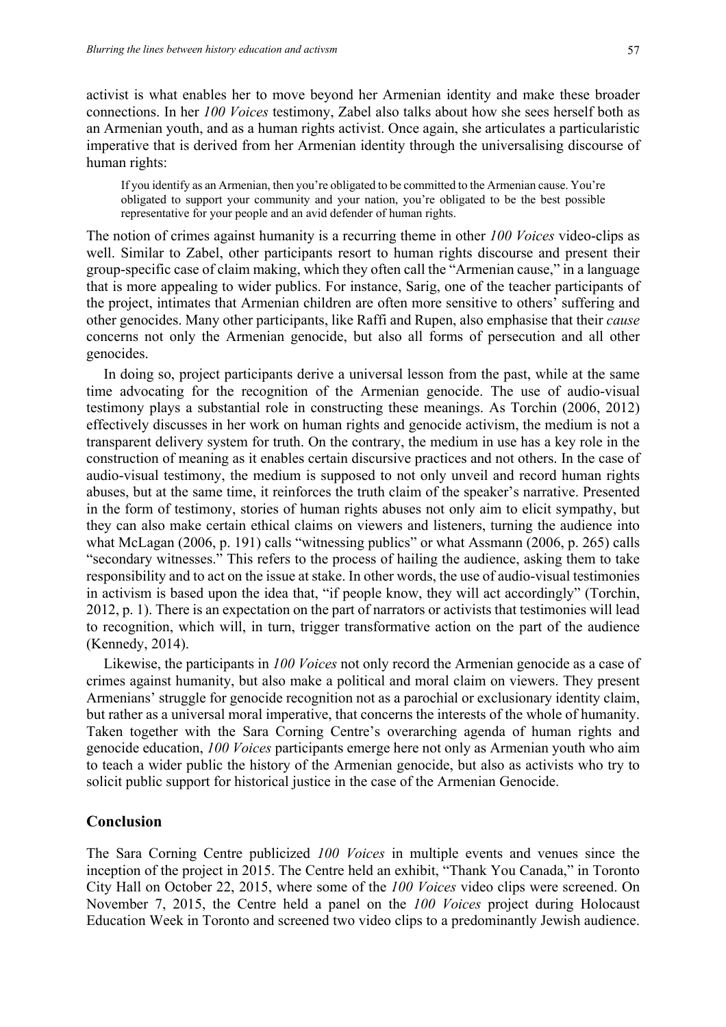activist is what enables her to move beyond her Armenian identity and make these broader connections. In her *100 Voices* testimony, Zabel also talks about how she sees herself both as an Armenian youth, and as a human rights activist. Once again, she articulates a particularistic imperative that is derived from her Armenian identity through the universalising discourse of human rights:

If you identify as an Armenian, then you're obligated to be committed to the Armenian cause. You're obligated to support your community and your nation, you're obligated to be the best possible representative for your people and an avid defender of human rights.

The notion of crimes against humanity is a recurring theme in other *100 Voices* video-clips as well. Similar to Zabel, other participants resort to human rights discourse and present their group-specific case of claim making, which they often call the "Armenian cause," in a language that is more appealing to wider publics. For instance, Sarig, one of the teacher participants of the project, intimates that Armenian children are often more sensitive to others' suffering and other genocides. Many other participants, like Raffi and Rupen, also emphasise that their *cause* concerns not only the Armenian genocide, but also all forms of persecution and all other genocides.

In doing so, project participants derive a universal lesson from the past, while at the same time advocating for the recognition of the Armenian genocide. The use of audio-visual testimony plays a substantial role in constructing these meanings. As Torchin (2006, 2012) effectively discusses in her work on human rights and genocide activism, the medium is not a transparent delivery system for truth. On the contrary, the medium in use has a key role in the construction of meaning as it enables certain discursive practices and not others. In the case of audio-visual testimony, the medium is supposed to not only unveil and record human rights abuses, but at the same time, it reinforces the truth claim of the speaker's narrative. Presented in the form of testimony, stories of human rights abuses not only aim to elicit sympathy, but they can also make certain ethical claims on viewers and listeners, turning the audience into what McLagan (2006, p. 191) calls "witnessing publics" or what Assmann (2006, p. 265) calls "secondary witnesses." This refers to the process of hailing the audience, asking them to take responsibility and to act on the issue at stake. In other words, the use of audio-visual testimonies in activism is based upon the idea that, "if people know, they will act accordingly" (Torchin, 2012, p. 1). There is an expectation on the part of narrators or activists that testimonies will lead to recognition, which will, in turn, trigger transformative action on the part of the audience (Kennedy, 2014).

Likewise, the participants in *100 Voices* not only record the Armenian genocide as a case of crimes against humanity, but also make a political and moral claim on viewers. They present Armenians' struggle for genocide recognition not as a parochial or exclusionary identity claim, but rather as a universal moral imperative, that concerns the interests of the whole of humanity. Taken together with the Sara Corning Centre's overarching agenda of human rights and genocide education, *100 Voices* participants emerge here not only as Armenian youth who aim to teach a wider public the history of the Armenian genocide, but also as activists who try to solicit public support for historical justice in the case of the Armenian Genocide.

#### **Conclusion**

The Sara Corning Centre publicized *100 Voices* in multiple events and venues since the inception of the project in 2015. The Centre held an exhibit, "Thank You Canada," in Toronto City Hall on October 22, 2015, where some of the *100 Voices* video clips were screened. On November 7, 2015, the Centre held a panel on the *100 Voices* project during Holocaust Education Week in Toronto and screened two video clips to a predominantly Jewish audience.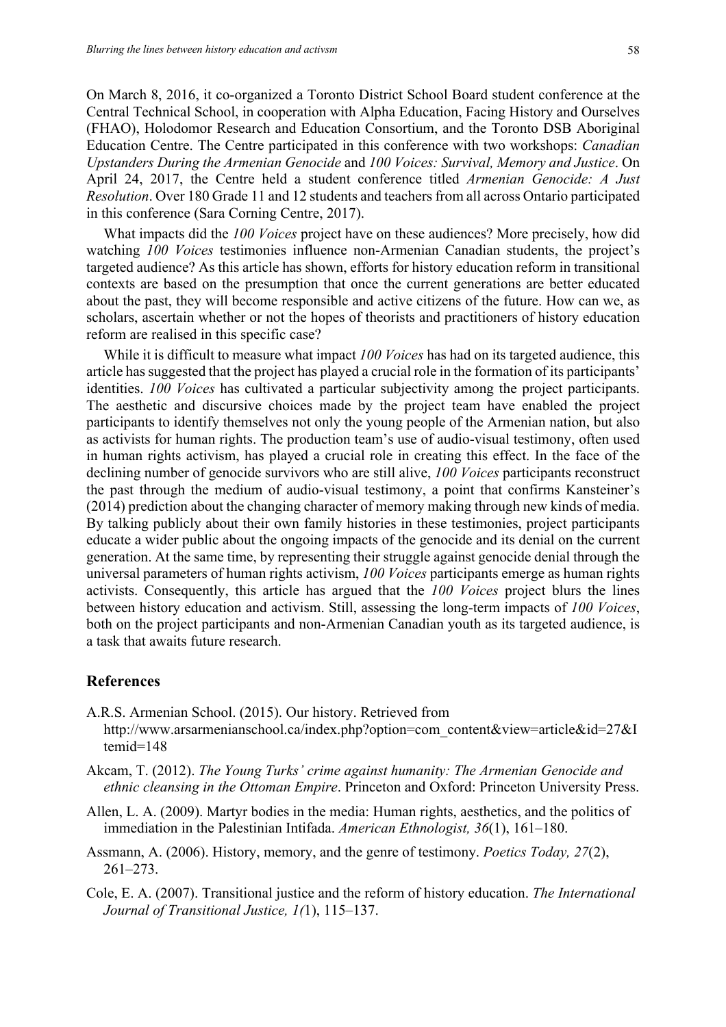On March 8, 2016, it co-organized a Toronto District School Board student conference at the Central Technical School, in cooperation with Alpha Education, Facing History and Ourselves (FHAO), Holodomor Research and Education Consortium, and the Toronto DSB Aboriginal Education Centre. The Centre participated in this conference with two workshops: *Canadian Upstanders During the Armenian Genocide* and *100 Voices: Survival, Memory and Justice*. On April 24, 2017, the Centre held a student conference titled *Armenian Genocide: A Just Resolution*. Over 180 Grade 11 and 12 students and teachers from all across Ontario participated in this conference (Sara Corning Centre, 2017).

What impacts did the *100 Voices* project have on these audiences? More precisely, how did watching *100 Voices* testimonies influence non-Armenian Canadian students, the project's targeted audience? As this article has shown, efforts for history education reform in transitional contexts are based on the presumption that once the current generations are better educated about the past, they will become responsible and active citizens of the future. How can we, as scholars, ascertain whether or not the hopes of theorists and practitioners of history education reform are realised in this specific case?

While it is difficult to measure what impact *100 Voices* has had on its targeted audience, this article has suggested that the project has played a crucial role in the formation of its participants' identities. *100 Voices* has cultivated a particular subjectivity among the project participants. The aesthetic and discursive choices made by the project team have enabled the project participants to identify themselves not only the young people of the Armenian nation, but also as activists for human rights. The production team's use of audio-visual testimony, often used in human rights activism, has played a crucial role in creating this effect. In the face of the declining number of genocide survivors who are still alive, *100 Voices* participants reconstruct the past through the medium of audio-visual testimony, a point that confirms Kansteiner's (2014) prediction about the changing character of memory making through new kinds of media. By talking publicly about their own family histories in these testimonies, project participants educate a wider public about the ongoing impacts of the genocide and its denial on the current generation. At the same time, by representing their struggle against genocide denial through the universal parameters of human rights activism, *100 Voices* participants emerge as human rights activists. Consequently, this article has argued that the *100 Voices* project blurs the lines between history education and activism. Still, assessing the long-term impacts of *100 Voices*, both on the project participants and non-Armenian Canadian youth as its targeted audience, is a task that awaits future research.

#### **References**

A.R.S. Armenian School. (2015). Our history. Retrieved from

http://www.arsarmenianschool.ca/index.php?option=com\_content&view=article&id=27&I temid=148

- Akcam, T. (2012). *The Young Turks' crime against humanity: The Armenian Genocide and ethnic cleansing in the Ottoman Empire*. Princeton and Oxford: Princeton University Press.
- Allen, L. A. (2009). Martyr bodies in the media: Human rights, aesthetics, and the politics of immediation in the Palestinian Intifada. *American Ethnologist, 36*(1), 161–180.
- Assmann, A. (2006). History, memory, and the genre of testimony. *Poetics Today, 27*(2), 261–273.
- Cole, E. A. (2007). Transitional justice and the reform of history education. *The International Journal of Transitional Justice, 1(*1), 115–137.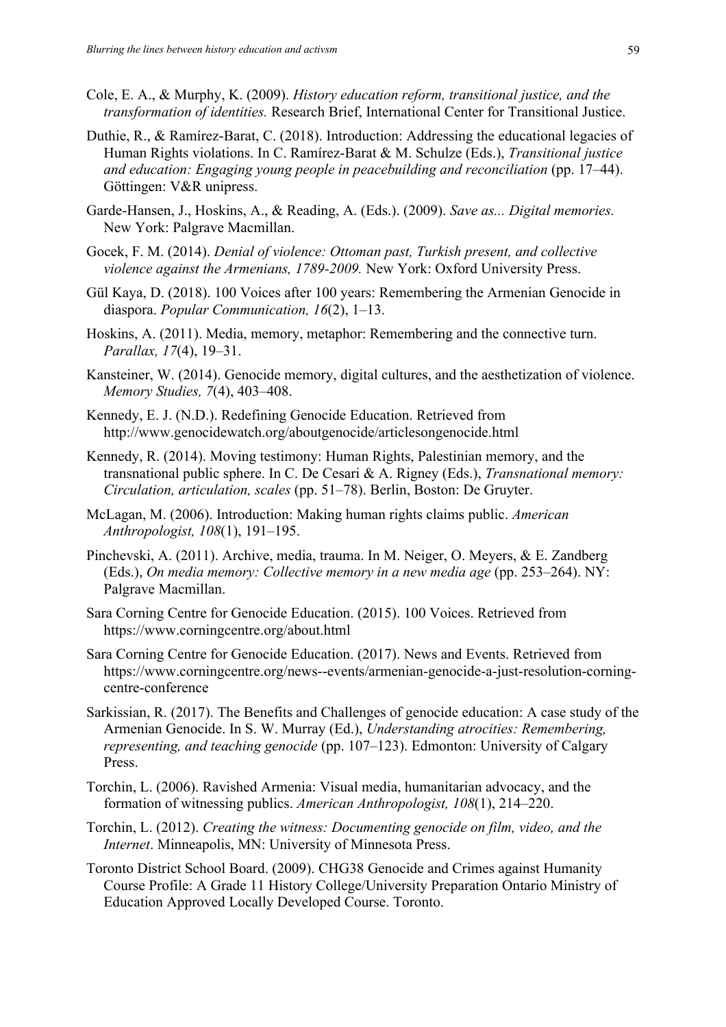- Cole, E. A., & Murphy, K. (2009). *History education reform, transitional justice, and the transformation of identities.* Research Brief, International Center for Transitional Justice.
- Duthie, R., & Ramírez-Barat, C. (2018). Introduction: Addressing the educational legacies of Human Rights violations. In C. Ramírez-Barat & M. Schulze (Eds.), *Transitional justice and education: Engaging young people in peacebuilding and reconciliation* (pp. 17–44). Göttingen: V&R unipress.
- Garde-Hansen, J., Hoskins, A., & Reading, A. (Eds.). (2009). *Save as... Digital memories.* New York: Palgrave Macmillan.
- Gocek, F. M. (2014). *Denial of violence: Ottoman past, Turkish present, and collective violence against the Armenians, 1789-2009.* New York: Oxford University Press.
- Gül Kaya, D. (2018). 100 Voices after 100 years: Remembering the Armenian Genocide in diaspora. *Popular Communication, 16*(2), 1–13.
- Hoskins, A. (2011). Media, memory, metaphor: Remembering and the connective turn. *Parallax, 17*(4), 19–31.
- Kansteiner, W. (2014). Genocide memory, digital cultures, and the aesthetization of violence. *Memory Studies, 7*(4), 403–408.
- Kennedy, E. J. (N.D.). Redefining Genocide Education. Retrieved from http://www.genocidewatch.org/aboutgenocide/articlesongenocide.html
- Kennedy, R. (2014). Moving testimony: Human Rights, Palestinian memory, and the transnational public sphere. In C. De Cesari & A. Rigney (Eds.), *Transnational memory: Circulation, articulation, scales* (pp. 51–78). Berlin, Boston: De Gruyter.
- McLagan, M. (2006). Introduction: Making human rights claims public. *American Anthropologist, 108*(1), 191–195.
- Pinchevski, A. (2011). Archive, media, trauma. In M. Neiger, O. Meyers, & E. Zandberg (Eds.), *On media memory: Collective memory in a new media age* (pp. 253–264). NY: Palgrave Macmillan.
- Sara Corning Centre for Genocide Education. (2015). 100 Voices. Retrieved from https://www.corningcentre.org/about.html
- Sara Corning Centre for Genocide Education. (2017). News and Events. Retrieved from https://www.corningcentre.org/news--events/armenian-genocide-a-just-resolution-corningcentre-conference
- Sarkissian, R. (2017). The Benefits and Challenges of genocide education: A case study of the Armenian Genocide. In S. W. Murray (Ed.), *Understanding atrocities: Remembering, representing, and teaching genocide* (pp. 107–123). Edmonton: University of Calgary Press.
- Torchin, L. (2006). Ravished Armenia: Visual media, humanitarian advocacy, and the formation of witnessing publics. *American Anthropologist, 108*(1), 214–220.
- Torchin, L. (2012). *Creating the witness: Documenting genocide on film, video, and the Internet*. Minneapolis, MN: University of Minnesota Press.
- Toronto District School Board. (2009). CHG38 Genocide and Crimes against Humanity Course Profile: A Grade 11 History College/University Preparation Ontario Ministry of Education Approved Locally Developed Course. Toronto.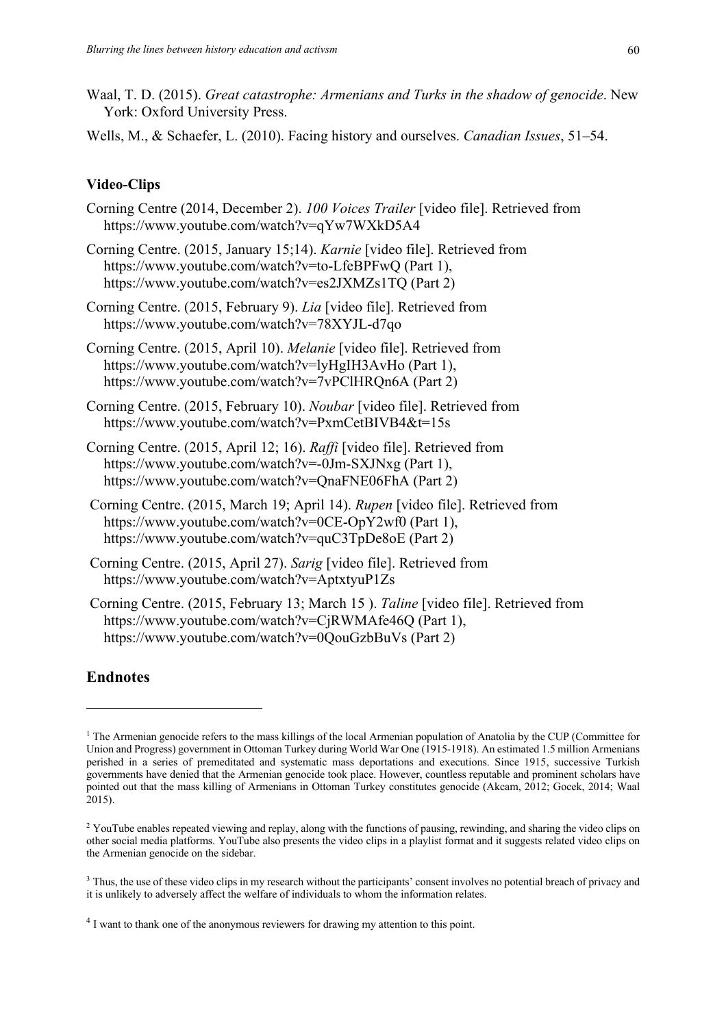Waal, T. D. (2015). *Great catastrophe: Armenians and Turks in the shadow of genocide*. New York: Oxford University Press.

Wells, M., & Schaefer, L. (2010). Facing history and ourselves. *Canadian Issues*, 51–54.

#### **Video-Clips**

- Corning Centre (2014, December 2). *100 Voices Trailer* [video file]. Retrieved from https://www.youtube.com/watch?v=qYw7WXkD5A4
- Corning Centre. (2015, January 15;14). *Karnie* [video file]. Retrieved from https://www.youtube.com/watch?v=to-LfeBPFwQ (Part 1), https://www.youtube.com/watch?v=es2JXMZs1TQ (Part 2)
- Corning Centre. (2015, February 9). *Lia* [video file]. Retrieved from https://www.youtube.com/watch?v=78XYJL-d7qo
- Corning Centre. (2015, April 10). *Melanie* [video file]. Retrieved from https://www.youtube.com/watch?v=lyHgIH3AvHo (Part 1), https://www.youtube.com/watch?v=7vPClHRQn6A (Part 2)
- Corning Centre. (2015, February 10). *Noubar* [video file]. Retrieved from https://www.youtube.com/watch?v=PxmCetBIVB4&t=15s

Corning Centre. (2015, April 12; 16). *Raffi* [video file]. Retrieved from https://www.youtube.com/watch?v=-0Jm-SXJNxg (Part 1), https://www.youtube.com/watch?v=QnaFNE06FhA (Part 2)

- Corning Centre. (2015, March 19; April 14). *Rupen* [video file]. Retrieved from https://www.youtube.com/watch?v=0CE-OpY2wf0 (Part 1), https://www.youtube.com/watch?v=quC3TpDe8oE (Part 2)
- Corning Centre. (2015, April 27). *Sarig* [video file]. Retrieved from https://www.youtube.com/watch?v=AptxtyuP1Zs
- Corning Centre. (2015, February 13; March 15 ). *Taline* [video file]. Retrieved from https://www.youtube.com/watch?v=CjRWMAfe46Q (Part 1), https://www.youtube.com/watch?v=0QouGzbBuVs (Part 2)

#### **Endnotes**

<sup>&</sup>lt;sup>1</sup> The Armenian genocide refers to the mass killings of the local Armenian population of Anatolia by the CUP (Committee for Union and Progress) government in Ottoman Turkey during World War One (1915-1918). An estimated 1.5 million Armenians perished in a series of premeditated and systematic mass deportations and executions. Since 1915, successive Turkish governments have denied that the Armenian genocide took place. However, countless reputable and prominent scholars have pointed out that the mass killing of Armenians in Ottoman Turkey constitutes genocide (Akcam, 2012; Gocek, 2014; Waal 2015).

<sup>&</sup>lt;sup>2</sup> YouTube enables repeated viewing and replay, along with the functions of pausing, rewinding, and sharing the video clips on other social media platforms. YouTube also presents the video clips in a playlist format and it suggests related video clips on the Armenian genocide on the sidebar.

<sup>&</sup>lt;sup>3</sup> Thus, the use of these video clips in my research without the participants' consent involves no potential breach of privacy and it is unlikely to adversely affect the welfare of individuals to whom the information relates.

<sup>&</sup>lt;sup>4</sup> I want to thank one of the anonymous reviewers for drawing my attention to this point.